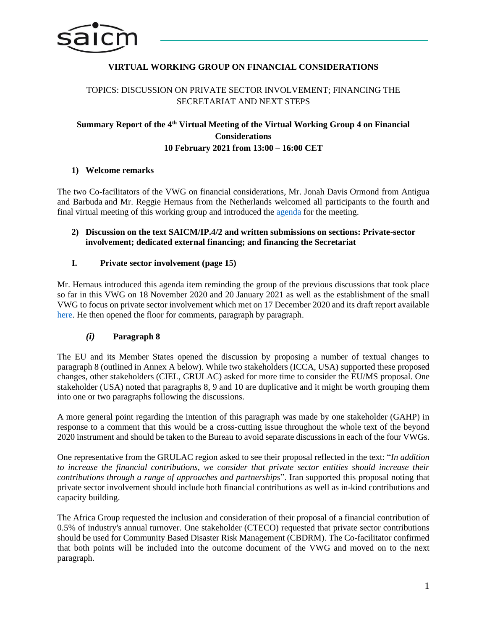

# **VIRTUAL WORKING GROUP ON FINANCIAL CONSIDERATIONS**

# TOPICS: DISCUSSION ON PRIVATE SECTOR INVOLVEMENT; FINANCING THE SECRETARIAT AND NEXT STEPS

# Summary Report of the 4<sup>th</sup> Virtual Meeting of the Virtual Working Group 4 on Financial **Considerations 10 February 2021 from 13:00 – 16:00 CET**

### **1) Welcome remarks**

The two Co-facilitators of the VWG on financial considerations, Mr. Jonah Davis Ormond from Antigua and Barbuda and Mr. Reggie Hernaus from the Netherlands welcomed all participants to the fourth and final virtual meeting of this working group and introduced the [agenda](http://www.saicm.org/Portals/12/documents/meetings/VirtualWG/Finance/Agenda_VWG4_10Feb2021.pdf) for the meeting.

#### **2) Discussion on the text SAICM/IP.4/2 and written submissions on sections: Private-sector involvement; dedicated external financing; and financing the Secretariat**

### **I. Private sector involvement (page 15)**

Mr. Hernaus introduced this agenda item reminding the group of the previous discussions that took place so far in this VWG on 18 November 2020 and 20 January 2021 as well as the establishment of the small VWG to focus on private sector involvement which met on 17 December 2020 and its draft report available [here.](http://www.saicm.org/Portals/12/documents/meetings/VirtualWG/Finance/main_take_away_small_group_VWG4_7Dec2020-FINAL.pdf) He then opened the floor for comments, paragraph by paragraph.

#### *(i)* **Paragraph 8**

The EU and its Member States opened the discussion by proposing a number of textual changes to paragraph 8 (outlined in Annex A below). While two stakeholders (ICCA, USA) supported these proposed changes, other stakeholders (CIEL, GRULAC) asked for more time to consider the EU/MS proposal. One stakeholder (USA) noted that paragraphs 8, 9 and 10 are duplicative and it might be worth grouping them into one or two paragraphs following the discussions.

A more general point regarding the intention of this paragraph was made by one stakeholder (GAHP) in response to a comment that this would be a cross-cutting issue throughout the whole text of the beyond 2020 instrument and should be taken to the Bureau to avoid separate discussions in each of the four VWGs.

One representative from the GRULAC region asked to see their proposal reflected in the text: "*In addition to increase the financial contributions, we consider that private sector entities should increase their contributions through a range of approaches and partnerships*". Iran supported this proposal noting that private sector involvement should include both financial contributions as well as in-kind contributions and capacity building.

The Africa Group requested the inclusion and consideration of their proposal of a financial contribution of 0.5% of industry's annual turnover. One stakeholder (CTECO) requested that private sector contributions should be used for Community Based Disaster Risk Management (CBDRM). The Co-facilitator confirmed that both points will be included into the outcome document of the VWG and moved on to the next paragraph.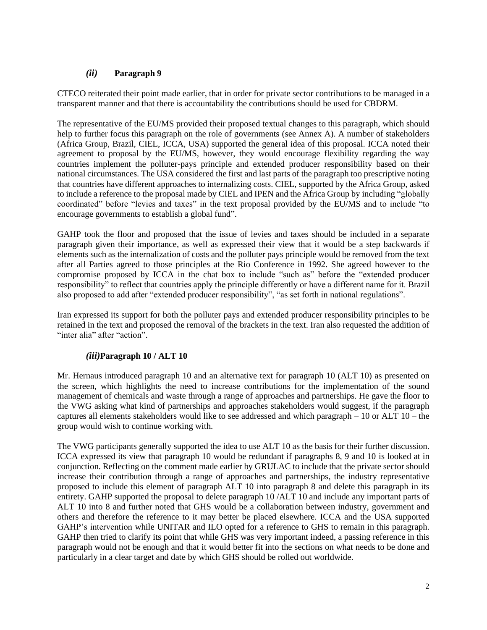## *(ii)* **Paragraph 9**

CTECO reiterated their point made earlier, that in order for private sector contributions to be managed in a transparent manner and that there is accountability the contributions should be used for CBDRM.

The representative of the EU/MS provided their proposed textual changes to this paragraph, which should help to further focus this paragraph on the role of governments (see Annex A). A number of stakeholders (Africa Group, Brazil, CIEL, ICCA, USA) supported the general idea of this proposal. ICCA noted their agreement to proposal by the EU/MS, however, they would encourage flexibility regarding the way countries implement the polluter-pays principle and extended producer responsibility based on their national circumstances. The USA considered the first and last parts of the paragraph too prescriptive noting that countries have different approaches to internalizing costs. CIEL, supported by the Africa Group, asked to include a reference to the proposal made by CIEL and IPEN and the Africa Group by including "globally coordinated" before "levies and taxes" in the text proposal provided by the EU/MS and to include "to encourage governments to establish a global fund".

GAHP took the floor and proposed that the issue of levies and taxes should be included in a separate paragraph given their importance, as well as expressed their view that it would be a step backwards if elements such as the internalization of costs and the polluter pays principle would be removed from the text after all Parties agreed to those principles at the Rio Conference in 1992. She agreed however to the compromise proposed by ICCA in the chat box to include "such as" before the "extended producer responsibility" to reflect that countries apply the principle differently or have a different name for it. Brazil also proposed to add after "extended producer responsibility", "as set forth in national regulations".

Iran expressed its support for both the polluter pays and extended producer responsibility principles to be retained in the text and proposed the removal of the brackets in the text. Iran also requested the addition of "inter alia" after "action".

#### *(iii)***Paragraph 10 / ALT 10**

Mr. Hernaus introduced paragraph 10 and an alternative text for paragraph 10 (ALT 10) as presented on the screen, which highlights the need to increase contributions for the implementation of the sound management of chemicals and waste through a range of approaches and partnerships. He gave the floor to the VWG asking what kind of partnerships and approaches stakeholders would suggest, if the paragraph captures all elements stakeholders would like to see addressed and which paragraph – 10 or ALT 10 – the group would wish to continue working with.

The VWG participants generally supported the idea to use ALT 10 as the basis for their further discussion. ICCA expressed its view that paragraph 10 would be redundant if paragraphs 8, 9 and 10 is looked at in conjunction. Reflecting on the comment made earlier by GRULAC to include that the private sector should increase their contribution through a range of approaches and partnerships, the industry representative proposed to include this element of paragraph ALT 10 into paragraph 8 and delete this paragraph in its entirety. GAHP supported the proposal to delete paragraph 10 /ALT 10 and include any important parts of ALT 10 into 8 and further noted that GHS would be a collaboration between industry, government and others and therefore the reference to it may better be placed elsewhere. ICCA and the USA supported GAHP's intervention while UNITAR and ILO opted for a reference to GHS to remain in this paragraph. GAHP then tried to clarify its point that while GHS was very important indeed, a passing reference in this paragraph would not be enough and that it would better fit into the sections on what needs to be done and particularly in a clear target and date by which GHS should be rolled out worldwide.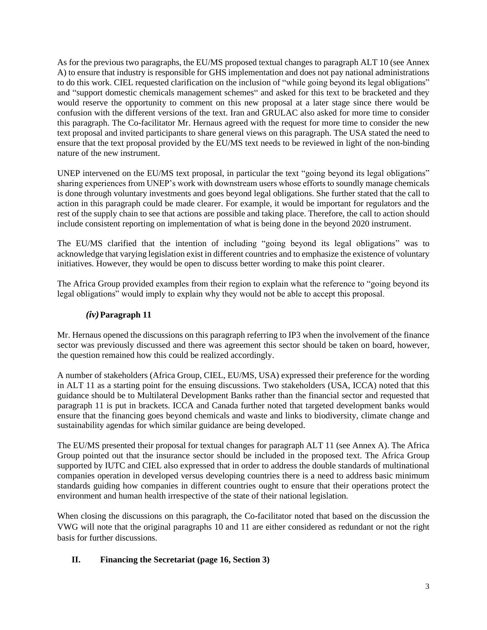As for the previous two paragraphs, the EU/MS proposed textual changes to paragraph ALT 10 (see Annex A) to ensure that industry is responsible for GHS implementation and does not pay national administrations to do this work. CIEL requested clarification on the inclusion of "while going beyond its legal obligations" and "support domestic chemicals management schemes" and asked for this text to be bracketed and they would reserve the opportunity to comment on this new proposal at a later stage since there would be confusion with the different versions of the text. Iran and GRULAC also asked for more time to consider this paragraph. The Co-facilitator Mr. Hernaus agreed with the request for more time to consider the new text proposal and invited participants to share general views on this paragraph. The USA stated the need to ensure that the text proposal provided by the EU/MS text needs to be reviewed in light of the non-binding nature of the new instrument.

UNEP intervened on the EU/MS text proposal, in particular the text "going beyond its legal obligations" sharing experiences from UNEP's work with downstream users whose efforts to soundly manage chemicals is done through voluntary investments and goes beyond legal obligations. She further stated that the call to action in this paragraph could be made clearer. For example, it would be important for regulators and the rest of the supply chain to see that actions are possible and taking place. Therefore, the call to action should include consistent reporting on implementation of what is being done in the beyond 2020 instrument.

The EU/MS clarified that the intention of including "going beyond its legal obligations" was to acknowledge that varying legislation exist in different countries and to emphasize the existence of voluntary initiatives. However, they would be open to discuss better wording to make this point clearer.

The Africa Group provided examples from their region to explain what the reference to "going beyond its legal obligations" would imply to explain why they would not be able to accept this proposal.

# *(iv)***Paragraph 11**

Mr. Hernaus opened the discussions on this paragraph referring to IP3 when the involvement of the finance sector was previously discussed and there was agreement this sector should be taken on board, however, the question remained how this could be realized accordingly.

A number of stakeholders (Africa Group, CIEL, EU/MS, USA) expressed their preference for the wording in ALT 11 as a starting point for the ensuing discussions. Two stakeholders (USA, ICCA) noted that this guidance should be to Multilateral Development Banks rather than the financial sector and requested that paragraph 11 is put in brackets. ICCA and Canada further noted that targeted development banks would ensure that the financing goes beyond chemicals and waste and links to biodiversity, climate change and sustainability agendas for which similar guidance are being developed.

The EU/MS presented their proposal for textual changes for paragraph ALT 11 (see Annex A). The Africa Group pointed out that the insurance sector should be included in the proposed text. The Africa Group supported by IUTC and CIEL also expressed that in order to address the double standards of multinational companies operation in developed versus developing countries there is a need to address basic minimum standards guiding how companies in different countries ought to ensure that their operations protect the environment and human health irrespective of the state of their national legislation.

When closing the discussions on this paragraph, the Co-facilitator noted that based on the discussion the VWG will note that the original paragraphs 10 and 11 are either considered as redundant or not the right basis for further discussions.

## **II. Financing the Secretariat (page 16, Section 3)**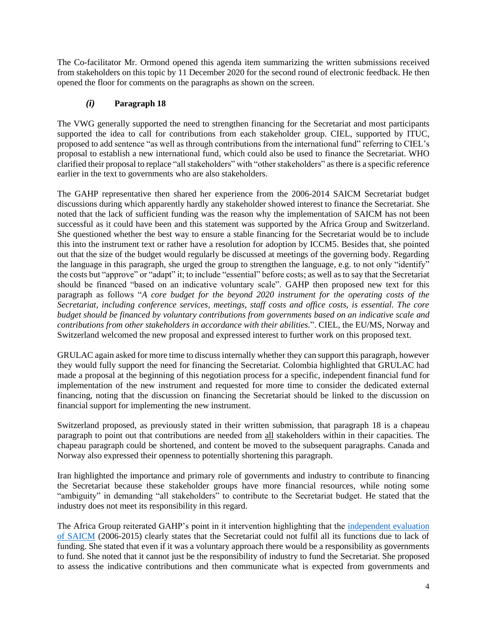The Co-facilitator Mr. Ormond opened this agenda item summarizing the written submissions received from stakeholders on this topic by 11 December 2020 for the second round of electronic feedback. He then opened the floor for comments on the paragraphs as shown on the screen.

# *(i)* **Paragraph 18**

The VWG generally supported the need to strengthen financing for the Secretariat and most participants supported the idea to call for contributions from each stakeholder group. CIEL, supported by ITUC, proposed to add sentence "as well as through contributions from the international fund" referring to CIEL's proposal to establish a new international fund, which could also be used to finance the Secretariat. WHO clarified their proposal to replace "all stakeholders" with "other stakeholders" as there is a specific reference earlier in the text to governments who are also stakeholders.

The GAHP representative then shared her experience from the 2006-2014 SAICM Secretariat budget discussions during which apparently hardly any stakeholder showed interest to finance the Secretariat. She noted that the lack of sufficient funding was the reason why the implementation of SAICM has not been successful as it could have been and this statement was supported by the Africa Group and Switzerland. She questioned whether the best way to ensure a stable financing for the Secretariat would be to include this into the instrument text or rather have a resolution for adoption by ICCM5. Besides that, she pointed out that the size of the budget would regularly be discussed at meetings of the governing body. Regarding the language in this paragraph, she urged the group to strengthen the language, e.g. to not only "identify" the costs but "approve" or "adapt" it; to include "essential" before costs; as well as to say that the Secretariat should be financed "based on an indicative voluntary scale". GAHP then proposed new text for this paragraph as follows "*A core budget for the beyond 2020 instrument for the operating costs of the Secretariat, including conference services, meetings, staff costs and office costs, is essential. The core budget should be financed by voluntary contributions from governments based on an indicative scale and contributions from other stakeholders in accordance with their abilities.*". CIEL, the EU/MS, Norway and Switzerland welcomed the new proposal and expressed interest to further work on this proposed text.

GRULAC again asked for more time to discuss internally whether they can support this paragraph, however they would fully support the need for financing the Secretariat. Colombia highlighted that GRULAC had made a proposal at the beginning of this negotiation process for a specific, independent financial fund for implementation of the new instrument and requested for more time to consider the dedicated external financing, noting that the discussion on financing the Secretariat should be linked to the discussion on financial support for implementing the new instrument.

Switzerland proposed, as previously stated in their written submission, that paragraph 18 is a chapeau paragraph to point out that contributions are needed from all stakeholders within in their capacities. The chapeau paragraph could be shortened, and content be moved to the subsequent paragraphs. Canada and Norway also expressed their openness to potentially shortening this paragraph.

Iran highlighted the importance and primary role of governments and industry to contribute to financing the Secretariat because these stakeholder groups have more financial resources, while noting some "ambiguity" in demanding "all stakeholders" to contribute to the Secretariat budget. He stated that the industry does not meet its responsibility in this regard.

The Africa Group reiterated GAHP's point in it intervention highlighting that the [independent evaluation](http://www.saicm.org/Portals/12/Documents/reporting/ExecSum_Independent-Evaluation-SAICM-2006-2015.pdf)  [of SAICM](http://www.saicm.org/Portals/12/Documents/reporting/ExecSum_Independent-Evaluation-SAICM-2006-2015.pdf) (2006-2015) clearly states that the Secretariat could not fulfil all its functions due to lack of funding. She stated that even if it was a voluntary approach there would be a responsibility as governments to fund. She noted that it cannot just be the responsibility of industry to fund the Secretariat. She proposed to assess the indicative contributions and then communicate what is expected from governments and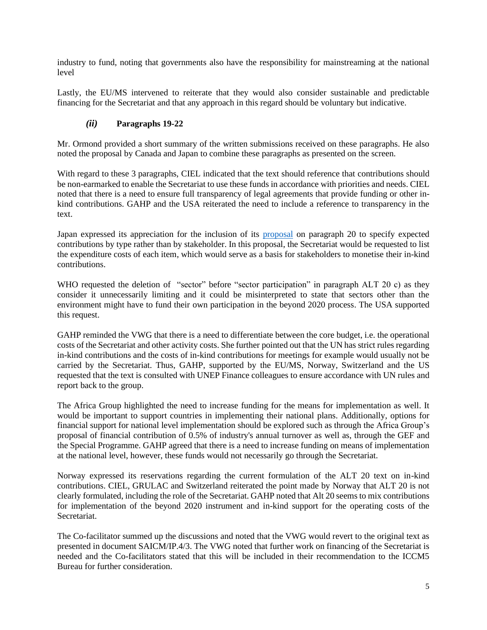industry to fund, noting that governments also have the responsibility for mainstreaming at the national level

Lastly, the EU/MS intervened to reiterate that they would also consider sustainable and predictable financing for the Secretariat and that any approach in this regard should be voluntary but indicative.

# *(ii)* **Paragraphs 19-22**

Mr. Ormond provided a short summary of the written submissions received on these paragraphs. He also noted the proposal by Canada and Japan to combine these paragraphs as presented on the screen.

With regard to these 3 paragraphs, CIEL indicated that the text should reference that contributions should be non-earmarked to enable the Secretariat to use these funds in accordance with priorities and needs. CIEL noted that there is a need to ensure full transparency of legal agreements that provide funding or other inkind contributions. GAHP and the USA reiterated the need to include a reference to transparency in the text.

Japan expressed its appreciation for the inclusion of its [proposal](http://www.saicm.org/Portals/12/documents/meetings/VirtualWG/Finance/Japan_2nd_feedback_VWG4-revised.pdf) on paragraph 20 to specify expected contributions by type rather than by stakeholder. In this proposal, the Secretariat would be requested to list the expenditure costs of each item, which would serve as a basis for stakeholders to monetise their in-kind contributions.

WHO requested the deletion of "sector" before "sector participation" in paragraph ALT 20 c) as they consider it unnecessarily limiting and it could be misinterpreted to state that sectors other than the environment might have to fund their own participation in the beyond 2020 process. The USA supported this request.

GAHP reminded the VWG that there is a need to differentiate between the core budget, i.e. the operational costs of the Secretariat and other activity costs. She further pointed out that the UN has strict rules regarding in-kind contributions and the costs of in-kind contributions for meetings for example would usually not be carried by the Secretariat. Thus, GAHP, supported by the EU/MS, Norway, Switzerland and the US requested that the text is consulted with UNEP Finance colleagues to ensure accordance with UN rules and report back to the group.

The Africa Group highlighted the need to increase funding for the means for implementation as well. It would be important to support countries in implementing their national plans. Additionally, options for financial support for national level implementation should be explored such as through the Africa Group's proposal of financial contribution of 0.5% of industry's annual turnover as well as, through the GEF and the Special Programme. GAHP agreed that there is a need to increase funding on means of implementation at the national level, however, these funds would not necessarily go through the Secretariat.

Norway expressed its reservations regarding the current formulation of the ALT 20 text on in-kind contributions. CIEL, GRULAC and Switzerland reiterated the point made by Norway that ALT 20 is not clearly formulated, including the role of the Secretariat. GAHP noted that Alt 20 seems to mix contributions for implementation of the beyond 2020 instrument and in-kind support for the operating costs of the Secretariat.

The Co-facilitator summed up the discussions and noted that the VWG would revert to the original text as presented in document SAICM/IP.4/3. The VWG noted that further work on financing of the Secretariat is needed and the Co-facilitators stated that this will be included in their recommendation to the ICCM5 Bureau for further consideration.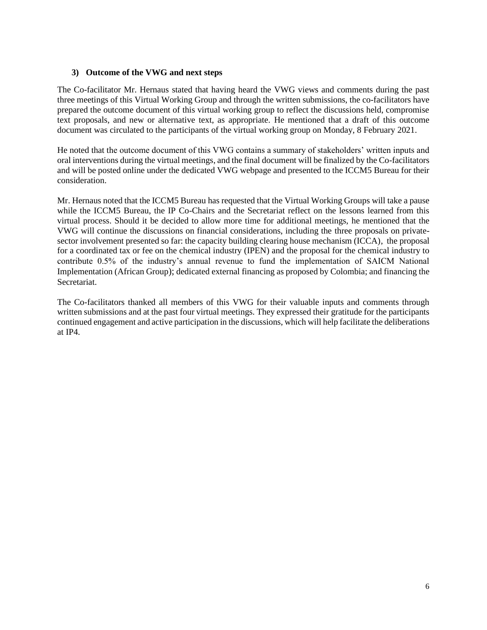### **3) Outcome of the VWG and next steps**

The Co-facilitator Mr. Hernaus stated that having heard the VWG views and comments during the past three meetings of this Virtual Working Group and through the written submissions, the co-facilitators have prepared the outcome document of this virtual working group to reflect the discussions held, compromise text proposals, and new or alternative text, as appropriate. He mentioned that a draft of this outcome document was circulated to the participants of the virtual working group on Monday, 8 February 2021.

He noted that the outcome document of this VWG contains a summary of stakeholders' written inputs and oral interventions during the virtual meetings, and the final document will be finalized by the Co-facilitators and will be posted online under the dedicated VWG webpage and presented to the ICCM5 Bureau for their consideration.

Mr. Hernaus noted that the ICCM5 Bureau has requested that the Virtual Working Groups will take a pause while the ICCM5 Bureau, the IP Co-Chairs and the Secretariat reflect on the lessons learned from this virtual process. Should it be decided to allow more time for additional meetings, he mentioned that the VWG will continue the discussions on financial considerations, including the three proposals on privatesector involvement presented so far: the capacity building clearing house mechanism (ICCA), the proposal for a coordinated tax or fee on the chemical industry (IPEN) and the proposal for the chemical industry to contribute 0.5% of the industry's annual revenue to fund the implementation of SAICM National Implementation (African Group); dedicated external financing as proposed by Colombia; and financing the **Secretariat** 

The Co-facilitators thanked all members of this VWG for their valuable inputs and comments through written submissions and at the past four virtual meetings. They expressed their gratitude for the participants continued engagement and active participation in the discussions, which will help facilitate the deliberations at IP4.